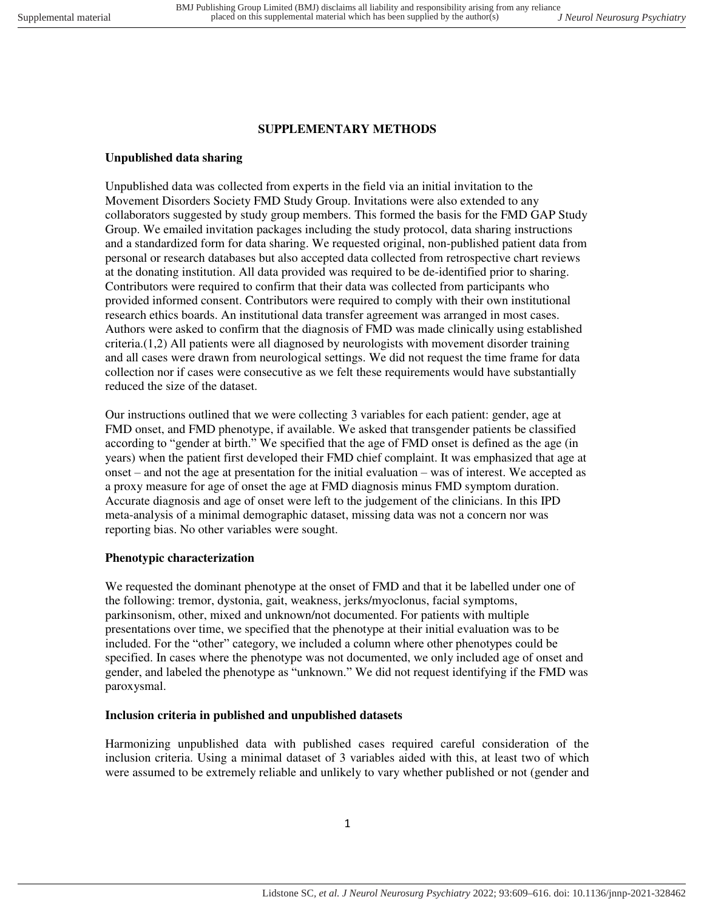# **SUPPLEMENTARY METHODS**

## **Unpublished data sharing**

Unpublished data was collected from experts in the field via an initial invitation to the Movement Disorders Society FMD Study Group. Invitations were also extended to any collaborators suggested by study group members. This formed the basis for the FMD GAP Study Group. We emailed invitation packages including the study protocol, data sharing instructions and a standardized form for data sharing. We requested original, non-published patient data from personal or research databases but also accepted data collected from retrospective chart reviews at the donating institution. All data provided was required to be de-identified prior to sharing. Contributors were required to confirm that their data was collected from participants who provided informed consent. Contributors were required to comply with their own institutional research ethics boards. An institutional data transfer agreement was arranged in most cases. Authors were asked to confirm that the diagnosis of FMD was made clinically using established criteria.(1,2) All patients were all diagnosed by neurologists with movement disorder training and all cases were drawn from neurological settings. We did not request the time frame for data collection nor if cases were consecutive as we felt these requirements would have substantially reduced the size of the dataset.

Our instructions outlined that we were collecting 3 variables for each patient: gender, age at FMD onset, and FMD phenotype, if available. We asked that transgender patients be classified according to "gender at birth." We specified that the age of FMD onset is defined as the age (in years) when the patient first developed their FMD chief complaint. It was emphasized that age at onset – and not the age at presentation for the initial evaluation – was of interest. We accepted as a proxy measure for age of onset the age at FMD diagnosis minus FMD symptom duration. Accurate diagnosis and age of onset were left to the judgement of the clinicians. In this IPD meta-analysis of a minimal demographic dataset, missing data was not a concern nor was reporting bias. No other variables were sought.

#### **Phenotypic characterization**

We requested the dominant phenotype at the onset of FMD and that it be labelled under one of the following: tremor, dystonia, gait, weakness, jerks/myoclonus, facial symptoms, parkinsonism, other, mixed and unknown/not documented. For patients with multiple presentations over time, we specified that the phenotype at their initial evaluation was to be included. For the "other" category, we included a column where other phenotypes could be specified. In cases where the phenotype was not documented, we only included age of onset and gender, and labeled the phenotype as "unknown." We did not request identifying if the FMD was paroxysmal.

#### **Inclusion criteria in published and unpublished datasets**

Harmonizing unpublished data with published cases required careful consideration of the inclusion criteria. Using a minimal dataset of 3 variables aided with this, at least two of which were assumed to be extremely reliable and unlikely to vary whether published or not (gender and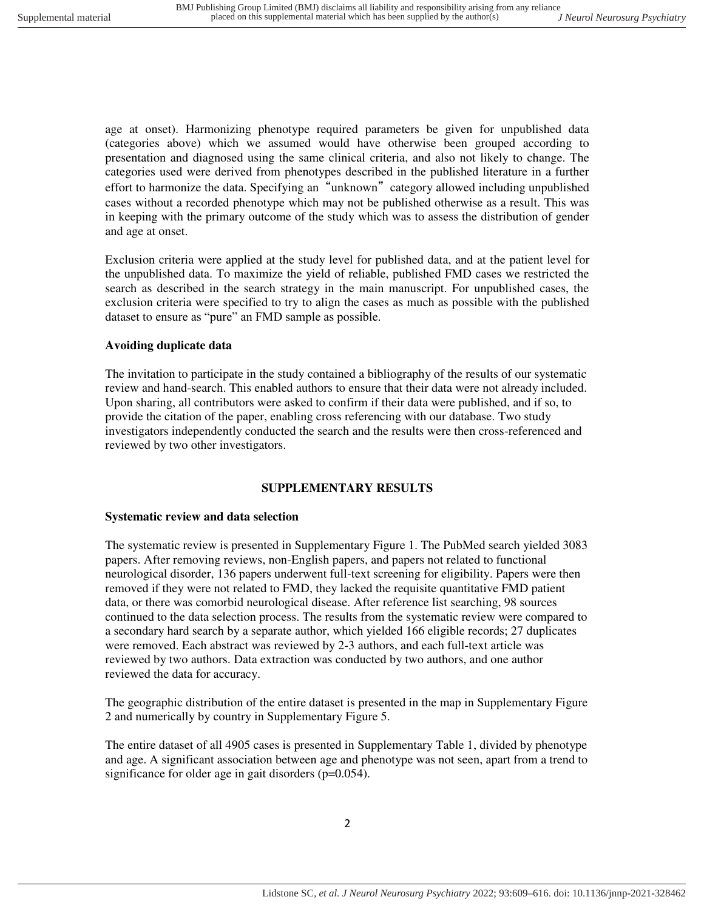age at onset). Harmonizing phenotype required parameters be given for unpublished data (categories above) which we assumed would have otherwise been grouped according to presentation and diagnosed using the same clinical criteria, and also not likely to change. The categories used were derived from phenotypes described in the published literature in a further effort to harmonize the data. Specifying an "unknown" category allowed including unpublished cases without a recorded phenotype which may not be published otherwise as a result. This was in keeping with the primary outcome of the study which was to assess the distribution of gender and age at onset.

Exclusion criteria were applied at the study level for published data, and at the patient level for the unpublished data. To maximize the yield of reliable, published FMD cases we restricted the search as described in the search strategy in the main manuscript. For unpublished cases, the exclusion criteria were specified to try to align the cases as much as possible with the published dataset to ensure as "pure" an FMD sample as possible.

## **Avoiding duplicate data**

The invitation to participate in the study contained a bibliography of the results of our systematic review and hand-search. This enabled authors to ensure that their data were not already included. Upon sharing, all contributors were asked to confirm if their data were published, and if so, to provide the citation of the paper, enabling cross referencing with our database. Two study investigators independently conducted the search and the results were then cross-referenced and reviewed by two other investigators.

#### **SUPPLEMENTARY RESULTS**

#### **Systematic review and data selection**

The systematic review is presented in Supplementary Figure 1. The PubMed search yielded 3083 papers. After removing reviews, non-English papers, and papers not related to functional neurological disorder, 136 papers underwent full-text screening for eligibility. Papers were then removed if they were not related to FMD, they lacked the requisite quantitative FMD patient data, or there was comorbid neurological disease. After reference list searching, 98 sources continued to the data selection process. The results from the systematic review were compared to a secondary hard search by a separate author, which yielded 166 eligible records; 27 duplicates were removed. Each abstract was reviewed by 2-3 authors, and each full-text article was reviewed by two authors. Data extraction was conducted by two authors, and one author reviewed the data for accuracy.

The geographic distribution of the entire dataset is presented in the map in Supplementary Figure 2 and numerically by country in Supplementary Figure 5.

The entire dataset of all 4905 cases is presented in Supplementary Table 1, divided by phenotype and age. A significant association between age and phenotype was not seen, apart from a trend to significance for older age in gait disorders (p=0.054).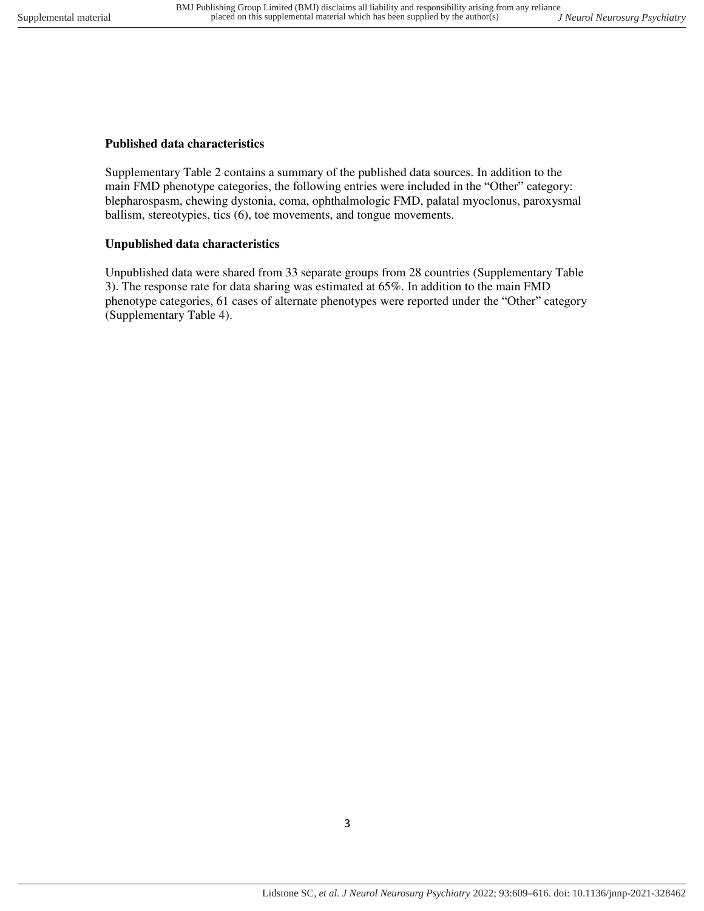### **Published data characteristics**

Supplementary Table 2 contains a summary of the published data sources. In addition to the main FMD phenotype categories, the following entries were included in the "Other" category: blepharospasm, chewing dystonia, coma, ophthalmologic FMD, palatal myoclonus, paroxysmal ballism, stereotypies, tics (6), toe movements, and tongue movements.

### **Unpublished data characteristics**

Unpublished data were shared from 33 separate groups from 28 countries (Supplementary Table 3). The response rate for data sharing was estimated at 65%. In addition to the main FMD phenotype categories, 61 cases of alternate phenotypes were reported under the "Other" category (Supplementary Table 4).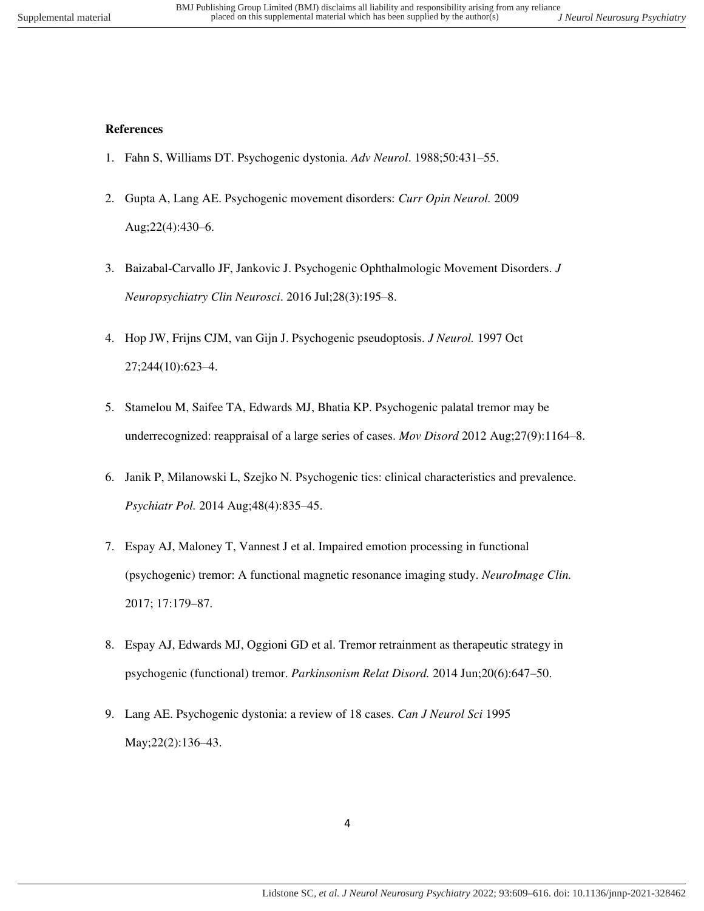### **References**

- 1. Fahn S, Williams DT. Psychogenic dystonia. *Adv Neurol*. 1988;50:431–55.
- 2. Gupta A, Lang AE. Psychogenic movement disorders: *Curr Opin Neurol.* 2009 Aug;22(4):430–6.
- 3. Baizabal-Carvallo JF, Jankovic J. Psychogenic Ophthalmologic Movement Disorders. *J Neuropsychiatry Clin Neurosci*. 2016 Jul;28(3):195–8.
- 4. Hop JW, Frijns CJM, van Gijn J. Psychogenic pseudoptosis. *J Neurol.* 1997 Oct 27;244(10):623–4.
- 5. Stamelou M, Saifee TA, Edwards MJ, Bhatia KP. Psychogenic palatal tremor may be underrecognized: reappraisal of a large series of cases. *Mov Disord* 2012 Aug;27(9):1164–8.
- 6. Janik P, Milanowski L, Szejko N. Psychogenic tics: clinical characteristics and prevalence. *Psychiatr Pol.* 2014 Aug;48(4):835–45.
- 7. Espay AJ, Maloney T, Vannest J et al. Impaired emotion processing in functional (psychogenic) tremor: A functional magnetic resonance imaging study. *NeuroImage Clin.*  2017; 17:179–87.
- 8. Espay AJ, Edwards MJ, Oggioni GD et al. Tremor retrainment as therapeutic strategy in psychogenic (functional) tremor. *Parkinsonism Relat Disord.* 2014 Jun;20(6):647–50.
- 9. Lang AE. Psychogenic dystonia: a review of 18 cases. *Can J Neurol Sci* 1995 May;22(2):136–43.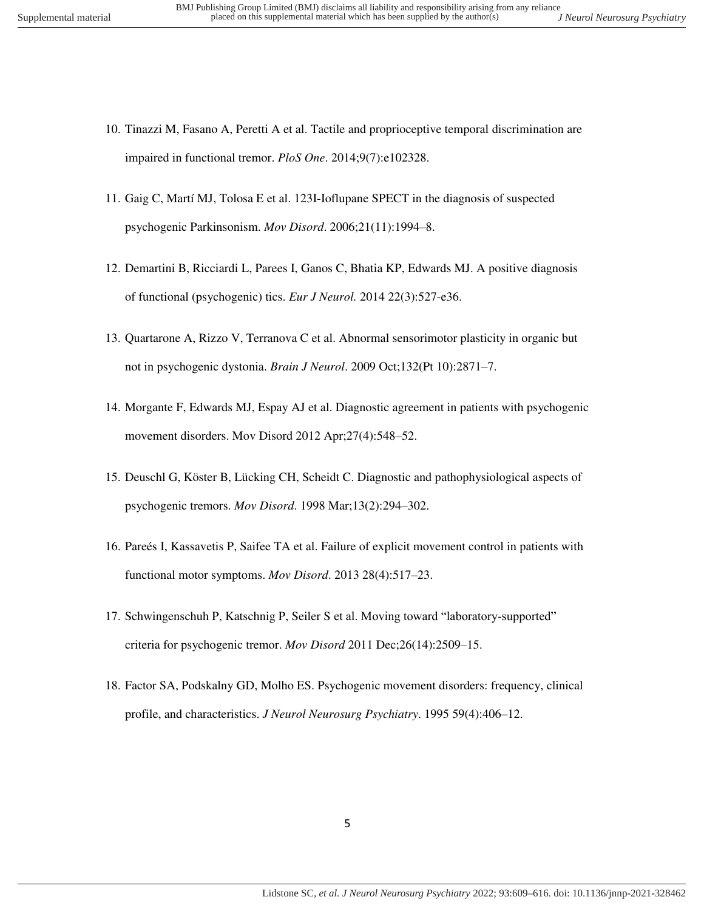- 10. Tinazzi M, Fasano A, Peretti A et al. Tactile and proprioceptive temporal discrimination are impaired in functional tremor. *PloS One*. 2014;9(7):e102328.
- 11. Gaig C, Martí MJ, Tolosa E et al. 123I-Ioflupane SPECT in the diagnosis of suspected psychogenic Parkinsonism. *Mov Disord*. 2006;21(11):1994–8.
- 12. Demartini B, Ricciardi L, Parees I, Ganos C, Bhatia KP, Edwards MJ. A positive diagnosis of functional (psychogenic) tics. *Eur J Neurol.* 2014 22(3):527-e36.
- 13. Quartarone A, Rizzo V, Terranova C et al. Abnormal sensorimotor plasticity in organic but not in psychogenic dystonia. *Brain J Neurol*. 2009 Oct;132(Pt 10):2871–7.
- 14. Morgante F, Edwards MJ, Espay AJ et al. Diagnostic agreement in patients with psychogenic movement disorders. Mov Disord 2012 Apr;27(4):548–52.
- 15. Deuschl G, Köster B, Lücking CH, Scheidt C. Diagnostic and pathophysiological aspects of psychogenic tremors. *Mov Disord*. 1998 Mar;13(2):294–302.
- 16. Pareés I, Kassavetis P, Saifee TA et al. Failure of explicit movement control in patients with functional motor symptoms. *Mov Disord*. 2013 28(4):517–23.
- 17. Schwingenschuh P, Katschnig P, Seiler S et al. Moving toward "laboratory-supported" criteria for psychogenic tremor. *Mov Disord* 2011 Dec;26(14):2509–15.
- 18. Factor SA, Podskalny GD, Molho ES. Psychogenic movement disorders: frequency, clinical profile, and characteristics. *J Neurol Neurosurg Psychiatry*. 1995 59(4):406–12.

5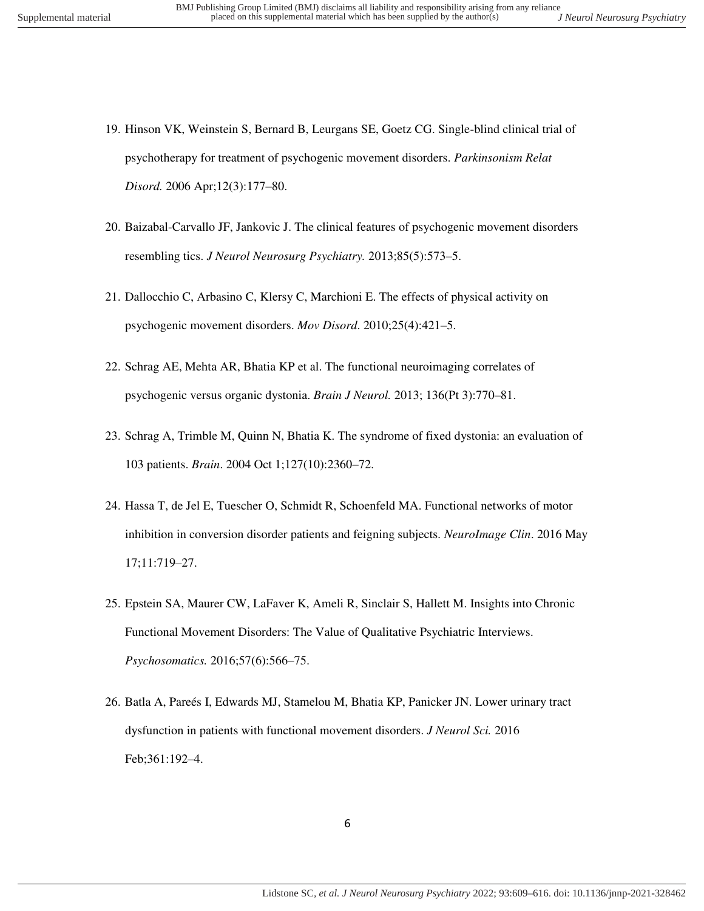- 19. Hinson VK, Weinstein S, Bernard B, Leurgans SE, Goetz CG. Single-blind clinical trial of psychotherapy for treatment of psychogenic movement disorders. *Parkinsonism Relat Disord.* 2006 Apr;12(3):177–80.
- 20. Baizabal-Carvallo JF, Jankovic J. The clinical features of psychogenic movement disorders resembling tics. *J Neurol Neurosurg Psychiatry.* 2013;85(5):573–5.
- 21. Dallocchio C, Arbasino C, Klersy C, Marchioni E. The effects of physical activity on psychogenic movement disorders. *Mov Disord*. 2010;25(4):421–5.
- 22. Schrag AE, Mehta AR, Bhatia KP et al. The functional neuroimaging correlates of psychogenic versus organic dystonia. *Brain J Neurol.* 2013; 136(Pt 3):770–81.
- 23. Schrag A, Trimble M, Quinn N, Bhatia K. The syndrome of fixed dystonia: an evaluation of 103 patients. *Brain*. 2004 Oct 1;127(10):2360–72.
- 24. Hassa T, de Jel E, Tuescher O, Schmidt R, Schoenfeld MA. Functional networks of motor inhibition in conversion disorder patients and feigning subjects. *NeuroImage Clin*. 2016 May 17;11:719–27.
- 25. Epstein SA, Maurer CW, LaFaver K, Ameli R, Sinclair S, Hallett M. Insights into Chronic Functional Movement Disorders: The Value of Qualitative Psychiatric Interviews. *Psychosomatics.* 2016;57(6):566–75.
- 26. Batla A, Pareés I, Edwards MJ, Stamelou M, Bhatia KP, Panicker JN. Lower urinary tract dysfunction in patients with functional movement disorders. *J Neurol Sci.* 2016 Feb;361:192–4.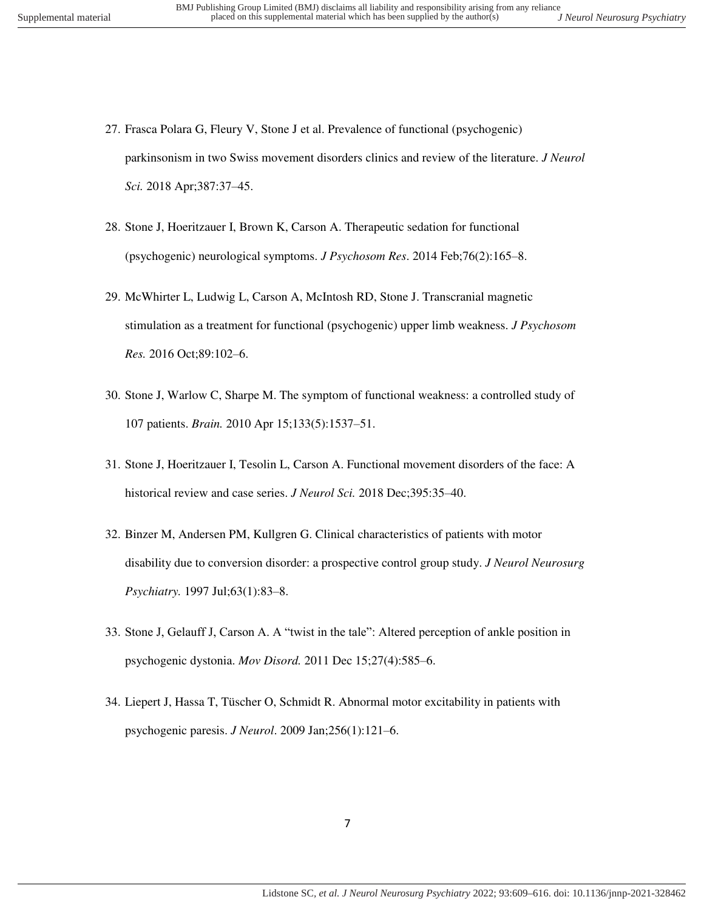- 27. Frasca Polara G, Fleury V, Stone J et al. Prevalence of functional (psychogenic) parkinsonism in two Swiss movement disorders clinics and review of the literature. *J Neurol Sci.* 2018 Apr;387:37–45.
- 28. Stone J, Hoeritzauer I, Brown K, Carson A. Therapeutic sedation for functional (psychogenic) neurological symptoms. *J Psychosom Res*. 2014 Feb;76(2):165–8.
- 29. McWhirter L, Ludwig L, Carson A, McIntosh RD, Stone J. Transcranial magnetic stimulation as a treatment for functional (psychogenic) upper limb weakness. *J Psychosom Res.* 2016 Oct;89:102–6.
- 30. Stone J, Warlow C, Sharpe M. The symptom of functional weakness: a controlled study of 107 patients. *Brain.* 2010 Apr 15;133(5):1537–51.
- 31. Stone J, Hoeritzauer I, Tesolin L, Carson A. Functional movement disorders of the face: A historical review and case series. *J Neurol Sci.* 2018 Dec;395:35–40.
- 32. Binzer M, Andersen PM, Kullgren G. Clinical characteristics of patients with motor disability due to conversion disorder: a prospective control group study. *J Neurol Neurosurg Psychiatry.* 1997 Jul;63(1):83–8.
- 33. Stone J, Gelauff J, Carson A. A "twist in the tale": Altered perception of ankle position in psychogenic dystonia. *Mov Disord.* 2011 Dec 15;27(4):585–6.
- 34. Liepert J, Hassa T, Tüscher O, Schmidt R. Abnormal motor excitability in patients with psychogenic paresis. *J Neurol*. 2009 Jan;256(1):121–6.

7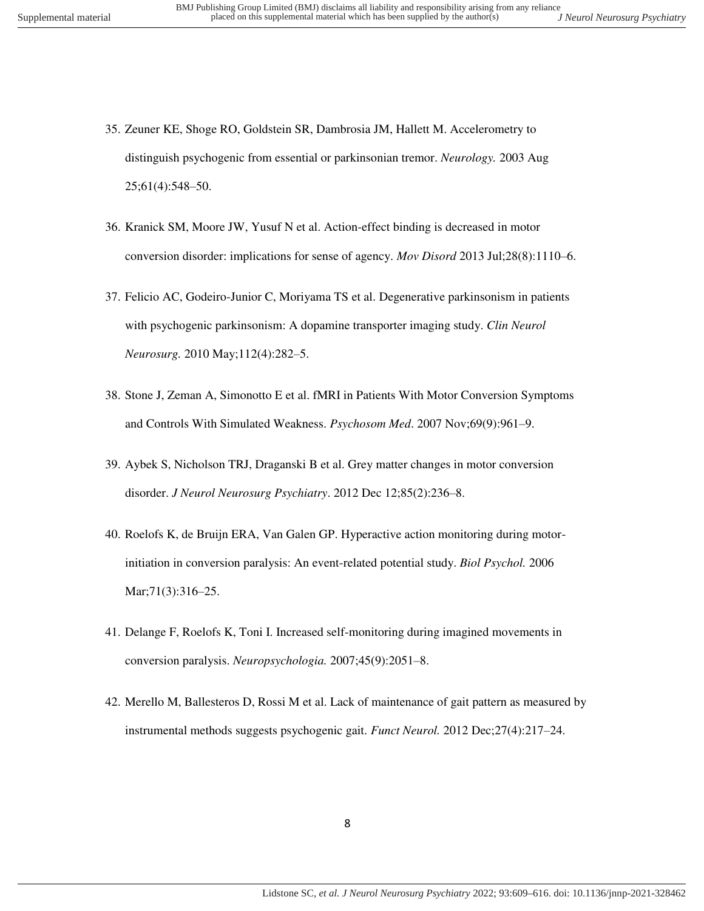35. Zeuner KE, Shoge RO, Goldstein SR, Dambrosia JM, Hallett M. Accelerometry to distinguish psychogenic from essential or parkinsonian tremor. *Neurology.* 2003 Aug

25;61(4):548–50.

- 36. Kranick SM, Moore JW, Yusuf N et al. Action-effect binding is decreased in motor conversion disorder: implications for sense of agency. *Mov Disord* 2013 Jul;28(8):1110–6.
- 37. Felicio AC, Godeiro-Junior C, Moriyama TS et al. Degenerative parkinsonism in patients with psychogenic parkinsonism: A dopamine transporter imaging study. *Clin Neurol Neurosurg.* 2010 May;112(4):282–5.
- 38. Stone J, Zeman A, Simonotto E et al. fMRI in Patients With Motor Conversion Symptoms and Controls With Simulated Weakness. *Psychosom Med*. 2007 Nov;69(9):961–9.
- 39. Aybek S, Nicholson TRJ, Draganski B et al. Grey matter changes in motor conversion disorder. *J Neurol Neurosurg Psychiatry*. 2012 Dec 12;85(2):236–8.
- 40. Roelofs K, de Bruijn ERA, Van Galen GP. Hyperactive action monitoring during motorinitiation in conversion paralysis: An event-related potential study. *Biol Psychol.* 2006 Mar;71(3):316–25.
- 41. Delange F, Roelofs K, Toni I. Increased self-monitoring during imagined movements in conversion paralysis. *Neuropsychologia.* 2007;45(9):2051–8.
- 42. Merello M, Ballesteros D, Rossi M et al. Lack of maintenance of gait pattern as measured by instrumental methods suggests psychogenic gait. *Funct Neurol.* 2012 Dec;27(4):217–24.

8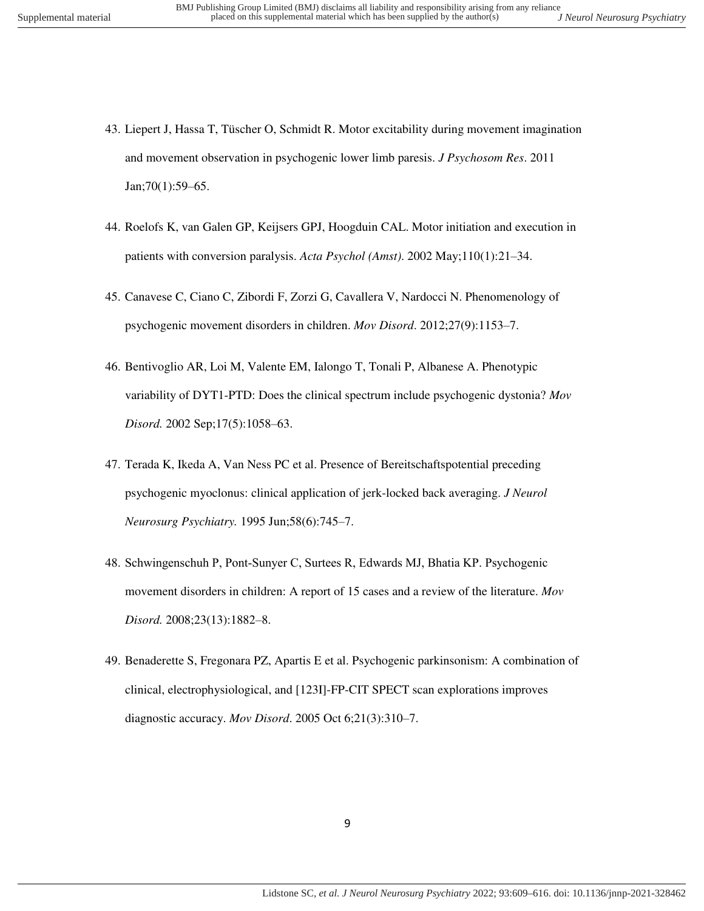- 
- 43. Liepert J, Hassa T, Tüscher O, Schmidt R. Motor excitability during movement imagination and movement observation in psychogenic lower limb paresis. *J Psychosom Res*. 2011 Jan;70(1):59–65.
- 44. Roelofs K, van Galen GP, Keijsers GPJ, Hoogduin CAL. Motor initiation and execution in patients with conversion paralysis. *Acta Psychol (Amst)*. 2002 May;110(1):21–34.
- 45. Canavese C, Ciano C, Zibordi F, Zorzi G, Cavallera V, Nardocci N. Phenomenology of psychogenic movement disorders in children. *Mov Disord*. 2012;27(9):1153–7.
- 46. Bentivoglio AR, Loi M, Valente EM, Ialongo T, Tonali P, Albanese A. Phenotypic variability of DYT1-PTD: Does the clinical spectrum include psychogenic dystonia? *Mov Disord.* 2002 Sep;17(5):1058–63.
- 47. Terada K, Ikeda A, Van Ness PC et al. Presence of Bereitschaftspotential preceding psychogenic myoclonus: clinical application of jerk-locked back averaging. *J Neurol Neurosurg Psychiatry.* 1995 Jun;58(6):745–7.
- 48. Schwingenschuh P, Pont‐Sunyer C, Surtees R, Edwards MJ, Bhatia KP. Psychogenic movement disorders in children: A report of 15 cases and a review of the literature. *Mov Disord.* 2008;23(13):1882–8.
- 49. Benaderette S, Fregonara PZ, Apartis E et al. Psychogenic parkinsonism: A combination of clinical, electrophysiological, and [123I]-FP-CIT SPECT scan explorations improves diagnostic accuracy. *Mov Disord*. 2005 Oct 6;21(3):310–7.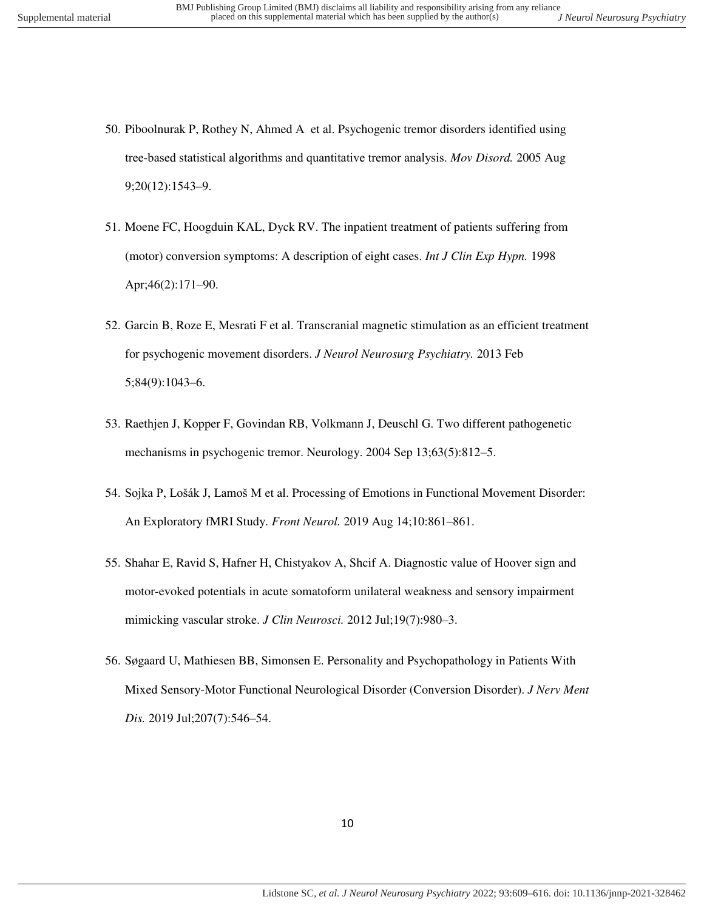- 50. Piboolnurak P, Rothey N, Ahmed A et al. Psychogenic tremor disorders identified using
- tree‐based statistical algorithms and quantitative tremor analysis. *Mov Disord.* 2005 Aug 9;20(12):1543–9.
- 51. Moene FC, Hoogduin KAL, Dyck RV. The inpatient treatment of patients suffering from (motor) conversion symptoms: A description of eight cases. *Int J Clin Exp Hypn.* 1998 Apr;46(2):171–90.
- 52. Garcin B, Roze E, Mesrati F et al. Transcranial magnetic stimulation as an efficient treatment for psychogenic movement disorders. *J Neurol Neurosurg Psychiatry.* 2013 Feb 5;84(9):1043–6.
- 53. Raethjen J, Kopper F, Govindan RB, Volkmann J, Deuschl G. Two different pathogenetic mechanisms in psychogenic tremor. Neurology. 2004 Sep 13;63(5):812–5.
- 54. Sojka P, Lošák J, Lamoš M et al. Processing of Emotions in Functional Movement Disorder: An Exploratory fMRI Study. *Front Neurol.* 2019 Aug 14;10:861–861.
- 55. Shahar E, Ravid S, Hafner H, Chistyakov A, Shcif A. Diagnostic value of Hoover sign and motor-evoked potentials in acute somatoform unilateral weakness and sensory impairment mimicking vascular stroke. *J Clin Neurosci.* 2012 Jul;19(7):980–3.
- 56. Søgaard U, Mathiesen BB, Simonsen E. Personality and Psychopathology in Patients With Mixed Sensory-Motor Functional Neurological Disorder (Conversion Disorder). *J Nerv Ment Dis.* 2019 Jul;207(7):546–54.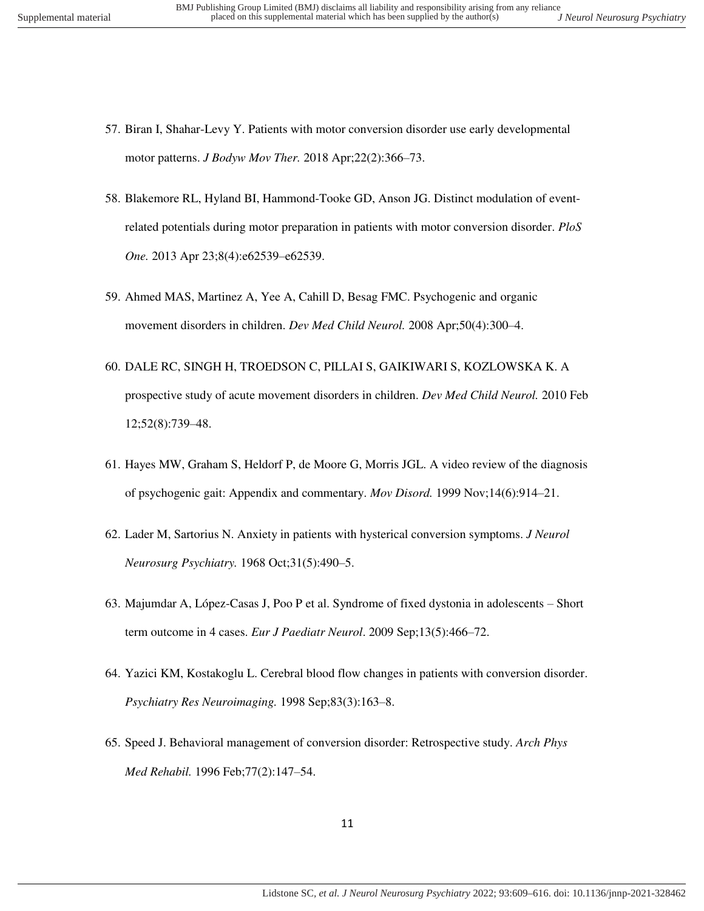- 57. Biran I, Shahar-Levy Y. Patients with motor conversion disorder use early developmental motor patterns. *J Bodyw Mov Ther.* 2018 Apr;22(2):366–73.
- 58. Blakemore RL, Hyland BI, Hammond-Tooke GD, Anson JG. Distinct modulation of eventrelated potentials during motor preparation in patients with motor conversion disorder. *PloS One.* 2013 Apr 23;8(4):e62539–e62539.
- 59. Ahmed MAS, Martinez A, Yee A, Cahill D, Besag FMC. Psychogenic and organic movement disorders in children. *Dev Med Child Neurol.* 2008 Apr;50(4):300–4.
- 60. DALE RC, SINGH H, TROEDSON C, PILLAI S, GAIKIWARI S, KOZLOWSKA K. A prospective study of acute movement disorders in children. *Dev Med Child Neurol.* 2010 Feb 12;52(8):739–48.
- 61. Hayes MW, Graham S, Heldorf P, de Moore G, Morris JGL. A video review of the diagnosis of psychogenic gait: Appendix and commentary. *Mov Disord.* 1999 Nov;14(6):914–21.
- 62. Lader M, Sartorius N. Anxiety in patients with hysterical conversion symptoms. *J Neurol Neurosurg Psychiatry.* 1968 Oct;31(5):490–5.
- 63. Majumdar A, López-Casas J, Poo P et al. Syndrome of fixed dystonia in adolescents Short term outcome in 4 cases. *Eur J Paediatr Neurol*. 2009 Sep;13(5):466–72.
- 64. Yazici KM, Kostakoglu L. Cerebral blood flow changes in patients with conversion disorder. *Psychiatry Res Neuroimaging.* 1998 Sep;83(3):163–8.
- 65. Speed J. Behavioral management of conversion disorder: Retrospective study. *Arch Phys Med Rehabil.* 1996 Feb;77(2):147–54.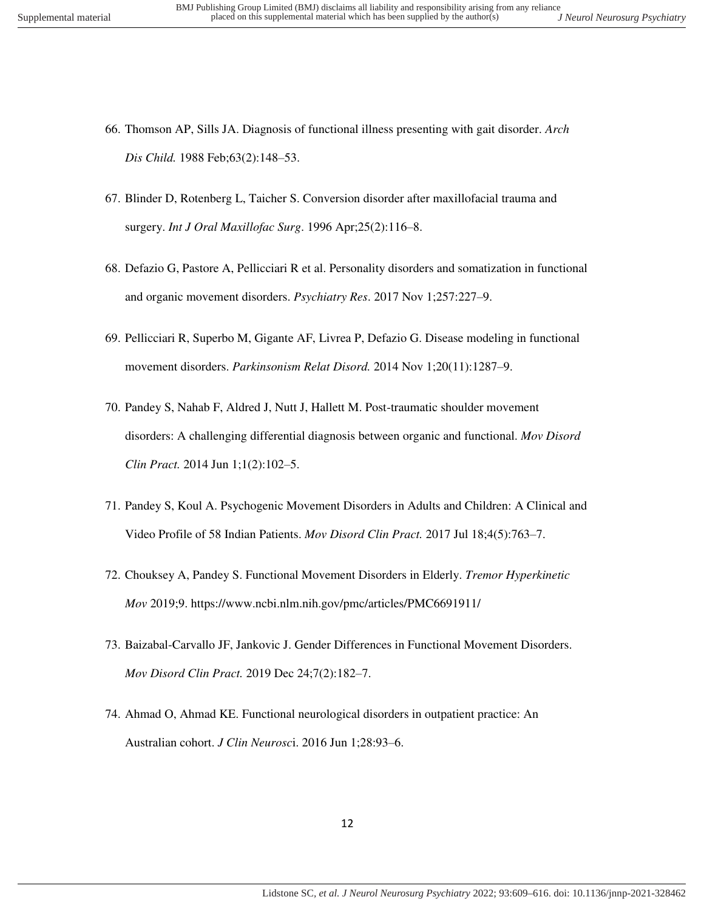- 66. Thomson AP, Sills JA. Diagnosis of functional illness presenting with gait disorder. *Arch Dis Child.* 1988 Feb;63(2):148–53.
- 67. Blinder D, Rotenberg L, Taicher S. Conversion disorder after maxillofacial trauma and surgery. *Int J Oral Maxillofac Surg*. 1996 Apr;25(2):116–8.
- 68. Defazio G, Pastore A, Pellicciari R et al. Personality disorders and somatization in functional and organic movement disorders. *Psychiatry Res*. 2017 Nov 1;257:227–9.
- 69. Pellicciari R, Superbo M, Gigante AF, Livrea P, Defazio G. Disease modeling in functional movement disorders. *Parkinsonism Relat Disord.* 2014 Nov 1;20(11):1287–9.
- 70. Pandey S, Nahab F, Aldred J, Nutt J, Hallett M. Post-traumatic shoulder movement disorders: A challenging differential diagnosis between organic and functional. *Mov Disord Clin Pract.* 2014 Jun 1;1(2):102–5.
- 71. Pandey S, Koul A. Psychogenic Movement Disorders in Adults and Children: A Clinical and Video Profile of 58 Indian Patients. *Mov Disord Clin Pract.* 2017 Jul 18;4(5):763–7.
- 72. Chouksey A, Pandey S. Functional Movement Disorders in Elderly. *Tremor Hyperkinetic Mov* 2019;9. https://www.ncbi.nlm.nih.gov/pmc/articles/PMC6691911/
- 73. Baizabal-Carvallo JF, Jankovic J. Gender Differences in Functional Movement Disorders. *Mov Disord Clin Pract.* 2019 Dec 24;7(2):182–7.
- 74. Ahmad O, Ahmad KE. Functional neurological disorders in outpatient practice: An Australian cohort. *J Clin Neurosc*i. 2016 Jun 1;28:93–6.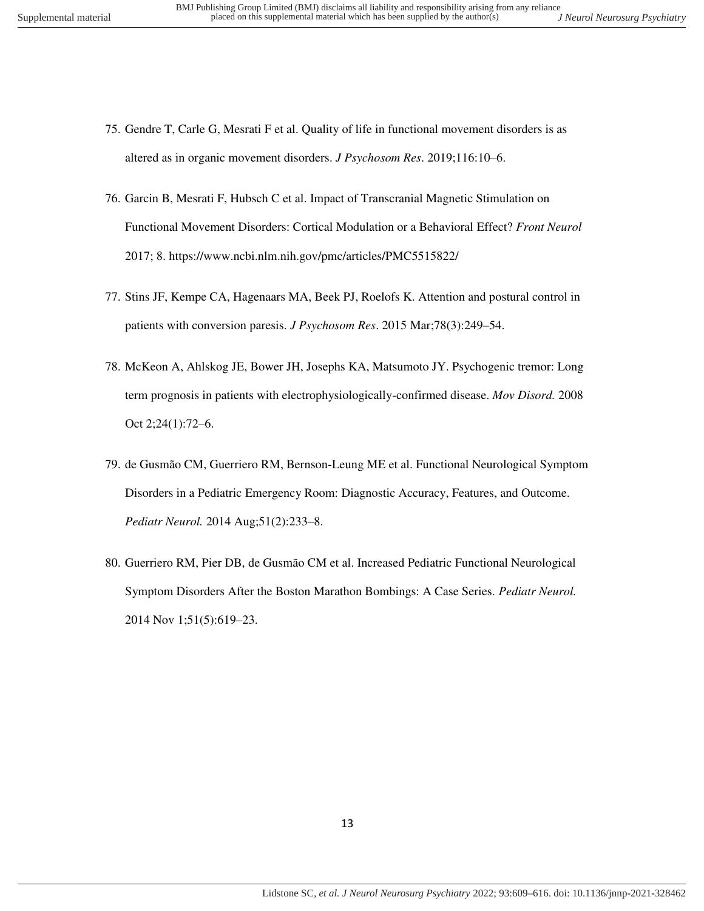- 75. Gendre T, Carle G, Mesrati F et al. Quality of life in functional movement disorders is as altered as in organic movement disorders. *J Psychosom Res*. 2019;116:10–6.
- 76. Garcin B, Mesrati F, Hubsch C et al. Impact of Transcranial Magnetic Stimulation on Functional Movement Disorders: Cortical Modulation or a Behavioral Effect? *Front Neurol* 2017; 8. https://www.ncbi.nlm.nih.gov/pmc/articles/PMC5515822/
- 77. Stins JF, Kempe CA, Hagenaars MA, Beek PJ, Roelofs K. Attention and postural control in patients with conversion paresis. *J Psychosom Res*. 2015 Mar;78(3):249–54.
- 78. McKeon A, Ahlskog JE, Bower JH, Josephs KA, Matsumoto JY. Psychogenic tremor: Long term prognosis in patients with electrophysiologically-confirmed disease. *Mov Disord.* 2008 Oct 2;24(1):72–6.
- 79. de Gusmão CM, Guerriero RM, Bernson-Leung ME et al. Functional Neurological Symptom Disorders in a Pediatric Emergency Room: Diagnostic Accuracy, Features, and Outcome. *Pediatr Neurol.* 2014 Aug;51(2):233–8.
- 80. Guerriero RM, Pier DB, de Gusmão CM et al. Increased Pediatric Functional Neurological Symptom Disorders After the Boston Marathon Bombings: A Case Series. *Pediatr Neurol.* 2014 Nov 1;51(5):619–23.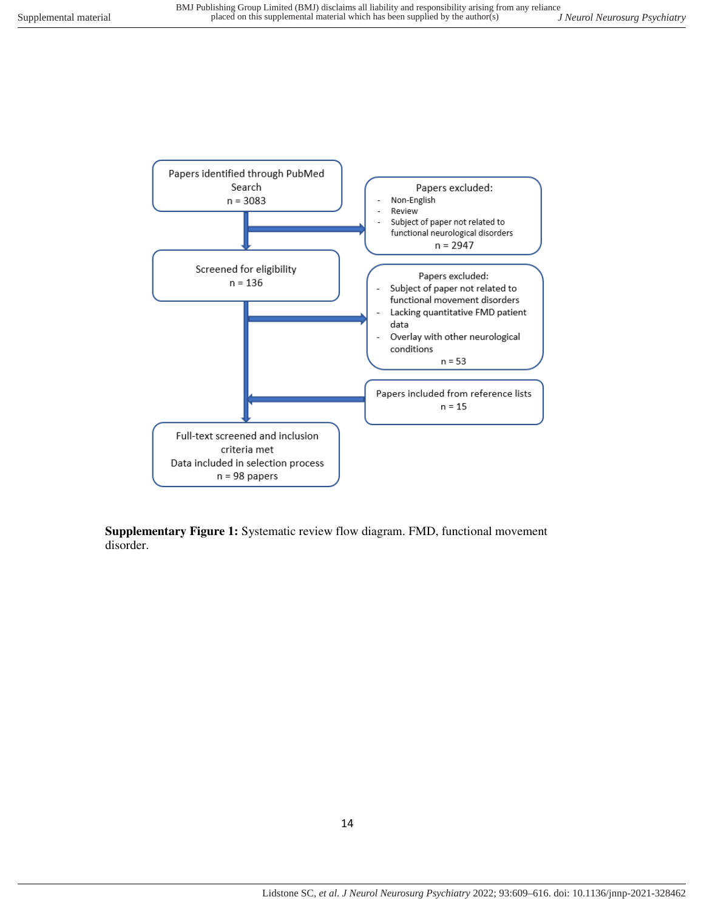

**Supplementary Figure 1:** Systematic review flow diagram. FMD, functional movement disorder.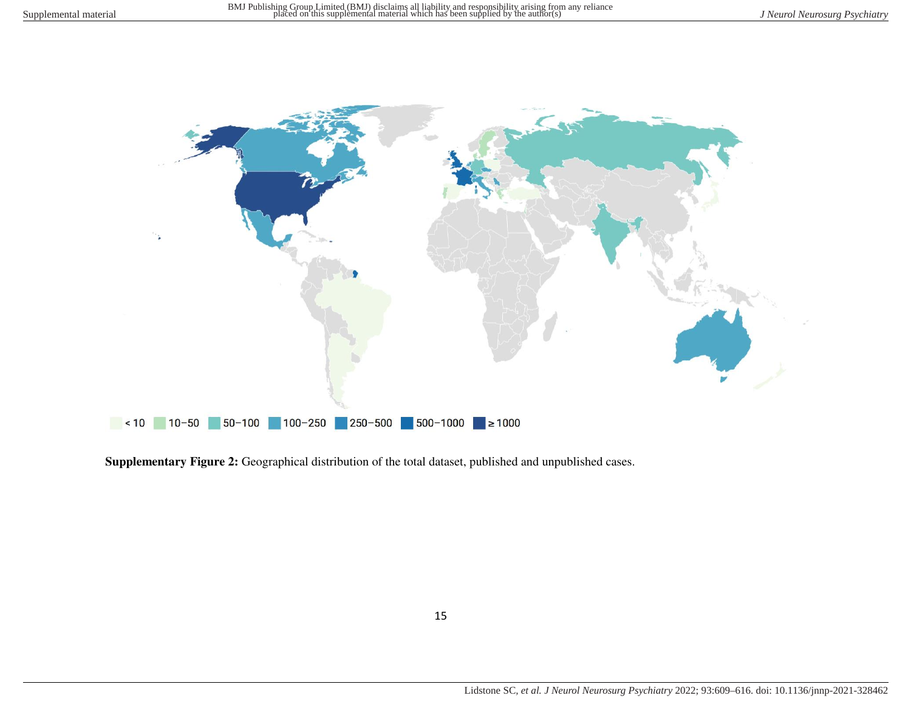

**Supplementary Figure 2:** Geographical distribution of the total dataset, published and unpublished cases.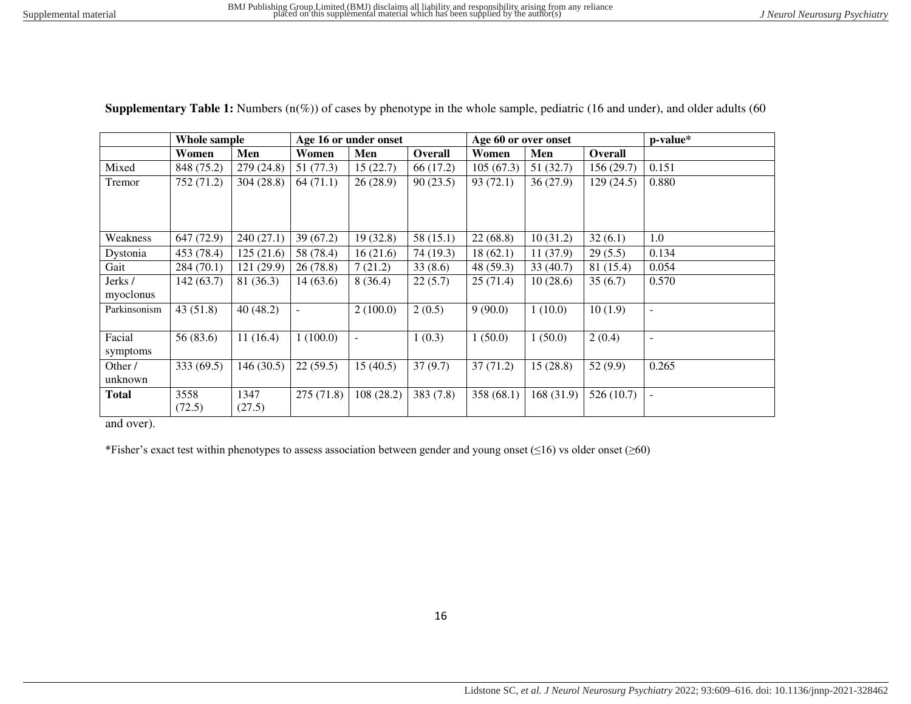| <b>Supplementary Table 1:</b> Numbers $(n(\%))$ of cases by phenotype in the whole sample, pediatric (16 and under), and older adults (60 |  |  |  |  |  |  |
|-------------------------------------------------------------------------------------------------------------------------------------------|--|--|--|--|--|--|
|                                                                                                                                           |  |  |  |  |  |  |

|              | Whole sample |            | Age 16 or under onset |                |           | Age 60 or over onset |            |                | p-value*                 |
|--------------|--------------|------------|-----------------------|----------------|-----------|----------------------|------------|----------------|--------------------------|
|              | Women        | Men        | Women                 | Men            | Overall   | Women                | Men        | <b>Overall</b> |                          |
| Mixed        | 848 (75.2)   | 279(24.8)  | 51 (77.3)             | 15(22.7)       | 66 (17.2) | 105(67.3)            | 51(32.7)   | 156(29.7)      | 0.151                    |
| Tremor       | 752 (71.2)   | 304(28.8)  | 64(71.1)              | 26(28.9)       | 90(23.5)  | 93(72.1)             | 36(27.9)   | 129(24.5)      | 0.880                    |
|              |              |            |                       |                |           |                      |            |                |                          |
|              |              |            |                       |                |           |                      |            |                |                          |
|              |              |            |                       |                |           |                      |            |                |                          |
| Weakness     | 647 (72.9)   | 240(27.1)  | 39(67.2)              | 19(32.8)       | 58(15.1)  | 22(68.8)             | 10(31.2)   | 32(6.1)        | 1.0                      |
| Dystonia     | 453 (78.4)   | 125(21.6)  | 58 (78.4)             | 16(21.6)       | 74 (19.3) | 18(62.1)             | 11(37.9)   | 29(5.5)        | 0.134                    |
| Gait         | 284(70.1)    | 121 (29.9) | 26(78.8)              | 7(21.2)        | 33(8.6)   | 48 (59.3)            | 33(40.7)   | 81 (15.4)      | 0.054                    |
| Jerks /      | 142 (63.7)   | 81 (36.3)  | 14(63.6)              | 8(36.4)        | 22(5.7)   | 25(71.4)             | 10(28.6)   | 35(6.7)        | 0.570                    |
| myoclonus    |              |            |                       |                |           |                      |            |                |                          |
| Parkinsonism | 43(51.8)     | 40(48.2)   |                       | 2(100.0)       | 2(0.5)    | 9(90.0)              | 1(10.0)    | 10(1.9)        | $\overline{\phantom{a}}$ |
|              |              |            |                       |                |           |                      |            |                |                          |
| Facial       | 56 (83.6)    | 11(16.4)   | 1(100.0)              | $\blacksquare$ | 1(0.3)    | 1(50.0)              | 1(50.0)    | 2(0.4)         | $\blacksquare$           |
| symptoms     |              |            |                       |                |           |                      |            |                |                          |
| Other /      | 333 (69.5)   | 146(30.5)  | 22(59.5)              | 15(40.5)       | 37(9.7)   | 37(71.2)             | 15(28.8)   | 52(9.9)        | 0.265                    |
| unknown      |              |            |                       |                |           |                      |            |                |                          |
| <b>Total</b> | 3558         | 1347       | 275(71.8)             | 108(28.2)      | 383(7.8)  | 358 (68.1)           | 168 (31.9) | 526(10.7)      | $\overline{a}$           |
|              | (72.5)       | (27.5)     |                       |                |           |                      |            |                |                          |

and over).

\*Fisher"s exact test within phenotypes to assess association between gender and young onset (≤16) vs older onset (≥60)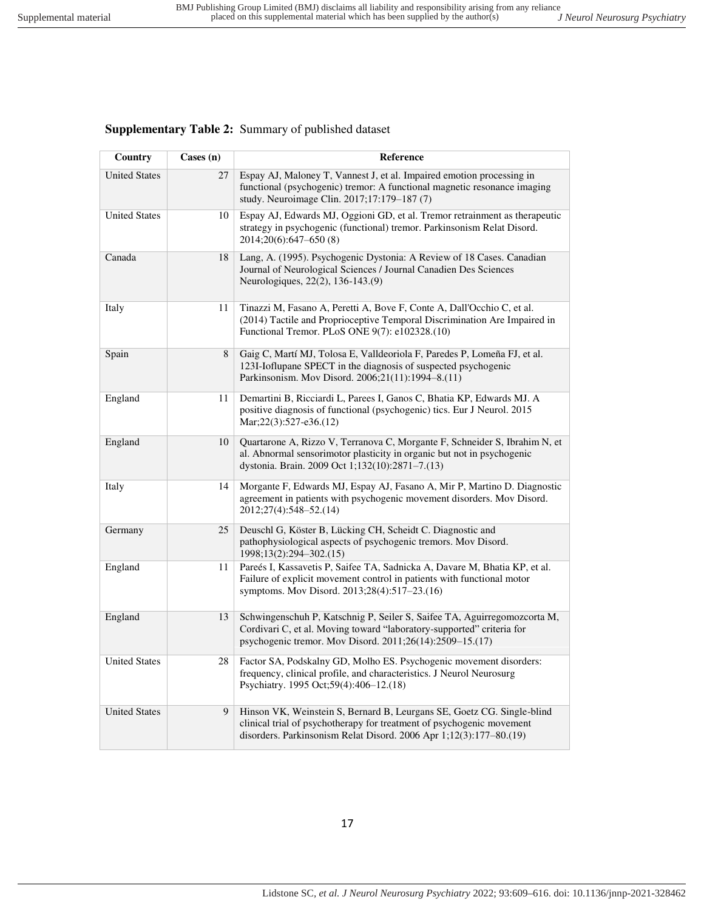# **Supplementary Table 2:** Summary of published dataset

| Country              | $\text{Cases} \left( \text{n} \right)$ | Reference                                                                                                                                                                                                             |
|----------------------|----------------------------------------|-----------------------------------------------------------------------------------------------------------------------------------------------------------------------------------------------------------------------|
| <b>United States</b> | 27                                     | Espay AJ, Maloney T, Vannest J, et al. Impaired emotion processing in<br>functional (psychogenic) tremor: A functional magnetic resonance imaging<br>study. Neuroimage Clin. 2017;17:179-187 (7)                      |
| <b>United States</b> | 10                                     | Espay AJ, Edwards MJ, Oggioni GD, et al. Tremor retrainment as therapeutic<br>strategy in psychogenic (functional) tremor. Parkinsonism Relat Disord.<br>2014;20(6):647-650(8)                                        |
| Canada               | 18                                     | Lang, A. (1995). Psychogenic Dystonia: A Review of 18 Cases. Canadian<br>Journal of Neurological Sciences / Journal Canadien Des Sciences<br>Neurologiques, 22(2), 136-143.(9)                                        |
| Italy                | 11                                     | Tinazzi M, Fasano A, Peretti A, Bove F, Conte A, Dall'Occhio C, et al.<br>(2014) Tactile and Proprioceptive Temporal Discrimination Are Impaired in<br>Functional Tremor. PLoS ONE 9(7): e102328.(10)                 |
| Spain                | 8                                      | Gaig C, Martí MJ, Tolosa E, Valldeoriola F, Paredes P, Lomeña FJ, et al.<br>123I-Ioflupane SPECT in the diagnosis of suspected psychogenic<br>Parkinsonism. Mov Disord. 2006;21(11):1994-8.(11)                       |
| England              | 11                                     | Demartini B, Ricciardi L, Parees I, Ganos C, Bhatia KP, Edwards MJ. A<br>positive diagnosis of functional (psychogenic) tics. Eur J Neurol. 2015<br>Mar;22(3):527-e36.(12)                                            |
| England              | 10                                     | Quartarone A, Rizzo V, Terranova C, Morgante F, Schneider S, Ibrahim N, et<br>al. Abnormal sensorimotor plasticity in organic but not in psychogenic<br>dystonia. Brain. 2009 Oct 1;132(10):2871-7.(13)               |
| Italy                | 14                                     | Morgante F, Edwards MJ, Espay AJ, Fasano A, Mir P, Martino D. Diagnostic<br>agreement in patients with psychogenic movement disorders. Mov Disord.<br>2012;27(4):548-52.(14)                                          |
| Germany              | 25                                     | Deuschl G, Köster B, Lücking CH, Scheidt C. Diagnostic and<br>pathophysiological aspects of psychogenic tremors. Mov Disord.<br>1998;13(2):294-302.(15)                                                               |
| England              | 11                                     | Pareés I, Kassavetis P, Saifee TA, Sadnicka A, Davare M, Bhatia KP, et al.<br>Failure of explicit movement control in patients with functional motor<br>symptoms. Mov Disord. 2013;28(4):517–23.(16)                  |
| England              | 13                                     | Schwingenschuh P, Katschnig P, Seiler S, Saifee TA, Aguirregomozcorta M,<br>Cordivari C, et al. Moving toward "laboratory-supported" criteria for<br>psychogenic tremor. Mov Disord. 2011;26(14):2509-15.(17)         |
| <b>United States</b> | 28                                     | Factor SA, Podskalny GD, Molho ES. Psychogenic movement disorders:<br>frequency, clinical profile, and characteristics. J Neurol Neurosurg<br>Psychiatry. 1995 Oct;59(4):406-12.(18)                                  |
| <b>United States</b> | 9                                      | Hinson VK, Weinstein S, Bernard B, Leurgans SE, Goetz CG. Single-blind<br>clinical trial of psychotherapy for treatment of psychogenic movement<br>disorders. Parkinsonism Relat Disord. 2006 Apr 1;12(3):177-80.(19) |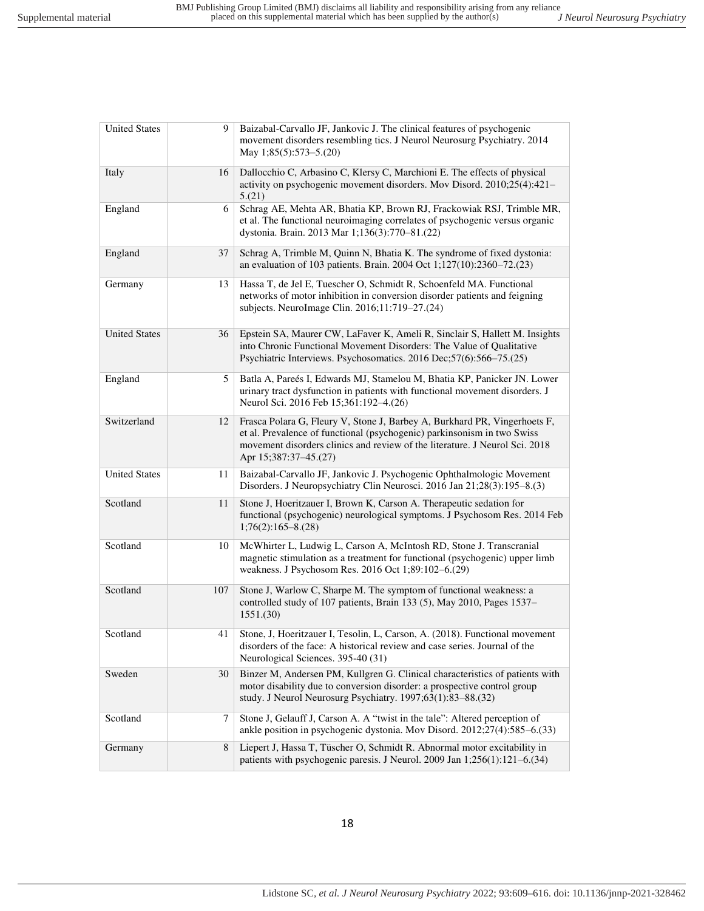| <b>United States</b> | 9   | Baizabal-Carvallo JF, Jankovic J. The clinical features of psychogenic<br>movement disorders resembling tics. J Neurol Neurosurg Psychiatry. 2014<br>May 1;85(5):573-5.(20)                                                                                  |
|----------------------|-----|--------------------------------------------------------------------------------------------------------------------------------------------------------------------------------------------------------------------------------------------------------------|
| Italy                | 16  | Dallocchio C, Arbasino C, Klersy C, Marchioni E. The effects of physical<br>activity on psychogenic movement disorders. Mov Disord. 2010;25(4):421-<br>5.(21)                                                                                                |
| England              | 6   | Schrag AE, Mehta AR, Bhatia KP, Brown RJ, Frackowiak RSJ, Trimble MR,<br>et al. The functional neuroimaging correlates of psychogenic versus organic<br>dystonia. Brain. 2013 Mar 1;136(3):770-81.(22)                                                       |
| England              | 37  | Schrag A, Trimble M, Quinn N, Bhatia K. The syndrome of fixed dystonia:<br>an evaluation of 103 patients. Brain. 2004 Oct 1;127(10):2360-72.(23)                                                                                                             |
| Germany              | 13  | Hassa T, de Jel E, Tuescher O, Schmidt R, Schoenfeld MA. Functional<br>networks of motor inhibition in conversion disorder patients and feigning<br>subjects. NeuroImage Clin. 2016;11:719-27.(24)                                                           |
| <b>United States</b> | 36  | Epstein SA, Maurer CW, LaFaver K, Ameli R, Sinclair S, Hallett M. Insights<br>into Chronic Functional Movement Disorders: The Value of Qualitative<br>Psychiatric Interviews. Psychosomatics. 2016 Dec; 57(6): 566-75.(25)                                   |
| England              | 5   | Batla A, Pareés I, Edwards MJ, Stamelou M, Bhatia KP, Panicker JN. Lower<br>urinary tract dysfunction in patients with functional movement disorders. J<br>Neurol Sci. 2016 Feb 15;361:192-4.(26)                                                            |
| Switzerland          | 12  | Frasca Polara G, Fleury V, Stone J, Barbey A, Burkhard PR, Vingerhoets F,<br>et al. Prevalence of functional (psychogenic) parkinsonism in two Swiss<br>movement disorders clinics and review of the literature. J Neurol Sci. 2018<br>Apr 15;387:37-45.(27) |
| <b>United States</b> | 11  | Baizabal-Carvallo JF, Jankovic J. Psychogenic Ophthalmologic Movement<br>Disorders. J Neuropsychiatry Clin Neurosci. 2016 Jan 21;28(3):195-8.(3)                                                                                                             |
| Scotland             | 11  | Stone J, Hoeritzauer I, Brown K, Carson A. Therapeutic sedation for<br>functional (psychogenic) neurological symptoms. J Psychosom Res. 2014 Feb<br>$1;76(2):165-8(28)$                                                                                      |
| Scotland             | 10  | McWhirter L, Ludwig L, Carson A, McIntosh RD, Stone J. Transcranial<br>magnetic stimulation as a treatment for functional (psychogenic) upper limb<br>weakness. J Psychosom Res. 2016 Oct 1;89:102-6.(29)                                                    |
| Scotland             | 107 | Stone J, Warlow C, Sharpe M. The symptom of functional weakness: a<br>controlled study of 107 patients, Brain 133 (5), May 2010, Pages 1537-<br>1551.(30)                                                                                                    |
| Scotland             | 41  | Stone, J, Hoeritzauer I, Tesolin, L, Carson, A. (2018). Functional movement<br>disorders of the face: A historical review and case series. Journal of the<br>Neurological Sciences. 395-40 (31)                                                              |
| Sweden               | 30  | Binzer M, Andersen PM, Kullgren G. Clinical characteristics of patients with<br>motor disability due to conversion disorder: a prospective control group<br>study. J Neurol Neurosurg Psychiatry. 1997;63(1):83-88.(32)                                      |
| Scotland             | 7   | Stone J, Gelauff J, Carson A. A "twist in the tale": Altered perception of<br>ankle position in psychogenic dystonia. Mov Disord. 2012;27(4):585-6.(33)                                                                                                      |
| Germany              | 8   | Liepert J, Hassa T, Tüscher O, Schmidt R. Abnormal motor excitability in<br>patients with psychogenic paresis. J Neurol. 2009 Jan 1;256(1):121-6.(34)                                                                                                        |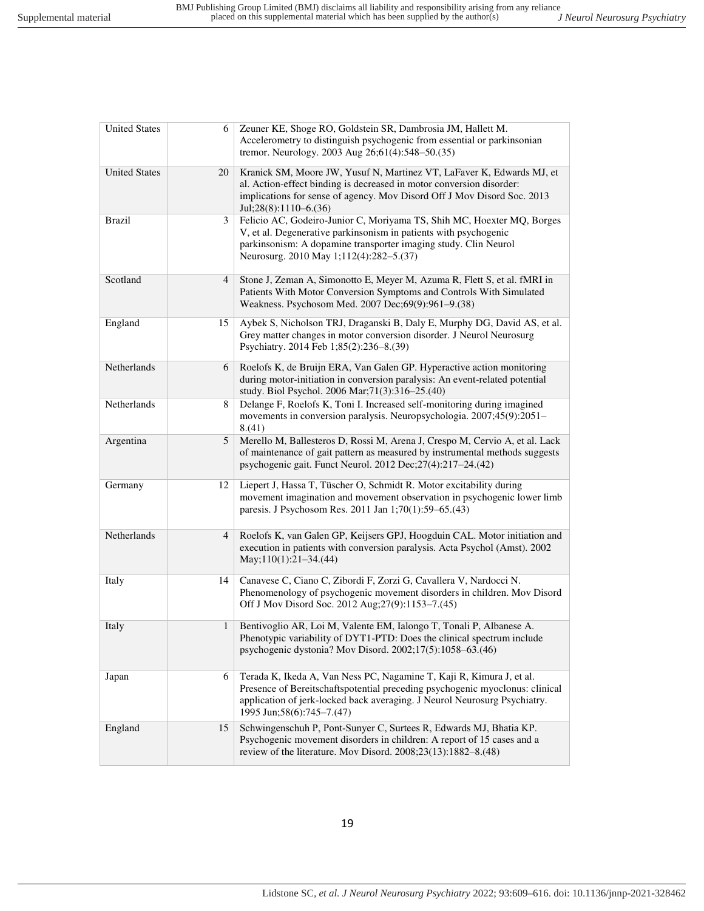| <b>United States</b> | 6            | Zeuner KE, Shoge RO, Goldstein SR, Dambrosia JM, Hallett M.<br>Accelerometry to distinguish psychogenic from essential or parkinsonian<br>tremor. Neurology. 2003 Aug 26;61(4):548-50.(35)                                                                       |
|----------------------|--------------|------------------------------------------------------------------------------------------------------------------------------------------------------------------------------------------------------------------------------------------------------------------|
| <b>United States</b> | 20           | Kranick SM, Moore JW, Yusuf N, Martinez VT, LaFaver K, Edwards MJ, et<br>al. Action-effect binding is decreased in motor conversion disorder:<br>implications for sense of agency. Mov Disord Off J Mov Disord Soc. 2013<br>Jul;28(8):1110–6.(36)                |
| <b>Brazil</b>        | 3            | Felicio AC, Godeiro-Junior C, Moriyama TS, Shih MC, Hoexter MQ, Borges<br>V, et al. Degenerative parkinsonism in patients with psychogenic<br>parkinsonism: A dopamine transporter imaging study. Clin Neurol<br>Neurosurg. 2010 May 1;112(4):282-5.(37)         |
| Scotland             | 4            | Stone J, Zeman A, Simonotto E, Meyer M, Azuma R, Flett S, et al. fMRI in<br>Patients With Motor Conversion Symptoms and Controls With Simulated<br>Weakness. Psychosom Med. 2007 Dec;69(9):961-9.(38)                                                            |
| England              | 15           | Aybek S, Nicholson TRJ, Draganski B, Daly E, Murphy DG, David AS, et al.<br>Grey matter changes in motor conversion disorder. J Neurol Neurosurg<br>Psychiatry. 2014 Feb 1;85(2):236-8.(39)                                                                      |
| Netherlands          | 6            | Roelofs K, de Bruijn ERA, Van Galen GP. Hyperactive action monitoring<br>during motor-initiation in conversion paralysis: An event-related potential<br>study. Biol Psychol. 2006 Mar; 71(3): 316-25.(40)                                                        |
| Netherlands          | 8            | Delange F, Roelofs K, Toni I. Increased self-monitoring during imagined<br>movements in conversion paralysis. Neuropsychologia. 2007;45(9):2051-<br>8.(41)                                                                                                       |
| Argentina            | 5            | Merello M, Ballesteros D, Rossi M, Arena J, Crespo M, Cervio A, et al. Lack<br>of maintenance of gait pattern as measured by instrumental methods suggests<br>psychogenic gait. Funct Neurol. 2012 Dec; 27(4): 217-24.(42)                                       |
| Germany              | 12           | Liepert J, Hassa T, Tüscher O, Schmidt R. Motor excitability during<br>movement imagination and movement observation in psychogenic lower limb<br>paresis. J Psychosom Res. 2011 Jan 1;70(1):59-65.(43)                                                          |
| Netherlands          | 4            | Roelofs K, van Galen GP, Keijsers GPJ, Hoogduin CAL. Motor initiation and<br>execution in patients with conversion paralysis. Acta Psychol (Amst). 2002<br>$May;110(1):21-34.(44)$                                                                               |
| Italy                | 14           | Canavese C, Ciano C, Zibordi F, Zorzi G, Cavallera V, Nardocci N.<br>Phenomenology of psychogenic movement disorders in children. Mov Disord<br>Off J Mov Disord Soc. 2012 Aug; 27(9): 1153-7.(45)                                                               |
| Italy                | $\mathbf{1}$ | Bentivoglio AR, Loi M, Valente EM, Ialongo T, Tonali P, Albanese A.<br>Phenotypic variability of DYT1-PTD: Does the clinical spectrum include<br>psychogenic dystonia? Mov Disord. 2002;17(5):1058-63.(46)                                                       |
| Japan                | 6            | Terada K, Ikeda A, Van Ness PC, Nagamine T, Kaji R, Kimura J, et al.<br>Presence of Bereitschaftspotential preceding psychogenic myoclonus: clinical<br>application of jerk-locked back averaging. J Neurol Neurosurg Psychiatry.<br>1995 Jun; 58(6): 745–7.(47) |
| England              | 15           | Schwingenschuh P, Pont-Sunyer C, Surtees R, Edwards MJ, Bhatia KP.<br>Psychogenic movement disorders in children: A report of 15 cases and a<br>review of the literature. Mov Disord. 2008;23(13):1882-8.(48)                                                    |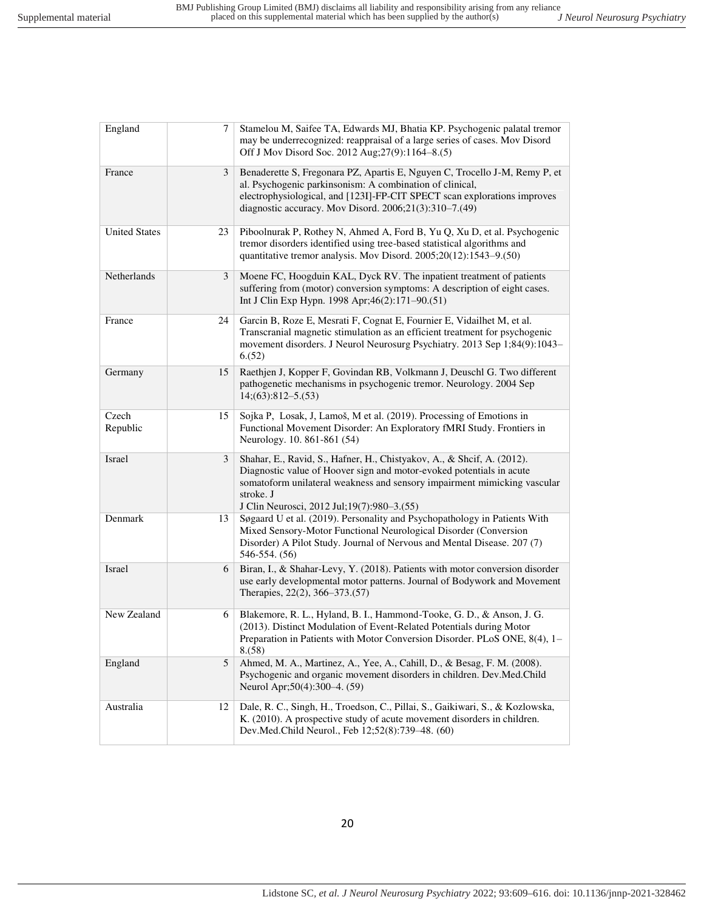| England              | 7  | Stamelou M, Saifee TA, Edwards MJ, Bhatia KP. Psychogenic palatal tremor<br>may be underrecognized: reappraisal of a large series of cases. Mov Disord<br>Off J Mov Disord Soc. 2012 Aug; 27(9):1164-8.(5)                                                                              |
|----------------------|----|-----------------------------------------------------------------------------------------------------------------------------------------------------------------------------------------------------------------------------------------------------------------------------------------|
| France               | 3  | Benaderette S, Fregonara PZ, Apartis E, Nguyen C, Trocello J-M, Remy P, et<br>al. Psychogenic parkinsonism: A combination of clinical,<br>electrophysiological, and [123I]-FP-CIT SPECT scan explorations improves<br>diagnostic accuracy. Mov Disord. 2006;21(3):310-7.(49)            |
| <b>United States</b> | 23 | Piboolnurak P, Rothey N, Ahmed A, Ford B, Yu Q, Xu D, et al. Psychogenic<br>tremor disorders identified using tree-based statistical algorithms and<br>quantitative tremor analysis. Mov Disord. 2005;20(12):1543-9.(50)                                                                |
| Netherlands          | 3  | Moene FC, Hoogduin KAL, Dyck RV. The inpatient treatment of patients<br>suffering from (motor) conversion symptoms: A description of eight cases.<br>Int J Clin Exp Hypn. 1998 Apr;46(2):171-90.(51)                                                                                    |
| France               | 24 | Garcin B, Roze E, Mesrati F, Cognat E, Fournier E, Vidailhet M, et al.<br>Transcranial magnetic stimulation as an efficient treatment for psychogenic<br>movement disorders. J Neurol Neurosurg Psychiatry. 2013 Sep 1;84(9):1043-<br>6(52)                                             |
| Germany              | 15 | Raethjen J, Kopper F, Govindan RB, Volkmann J, Deuschl G. Two different<br>pathogenetic mechanisms in psychogenic tremor. Neurology. 2004 Sep<br>$14(63):812-5(53)$                                                                                                                     |
| Czech<br>Republic    | 15 | Sojka P, Losak, J, Lamoš, M et al. (2019). Processing of Emotions in<br>Functional Movement Disorder: An Exploratory fMRI Study. Frontiers in<br>Neurology. 10. 861-861 (54)                                                                                                            |
| Israel               | 3  | Shahar, E., Ravid, S., Hafner, H., Chistyakov, A., & Shcif, A. (2012).<br>Diagnostic value of Hoover sign and motor-evoked potentials in acute<br>somatoform unilateral weakness and sensory impairment mimicking vascular<br>stroke. J<br>J Clin Neurosci, 2012 Jul; 19(7): 980–3.(55) |
| Denmark              | 13 | Søgaard U et al. (2019). Personality and Psychopathology in Patients With<br>Mixed Sensory-Motor Functional Neurological Disorder (Conversion<br>Disorder) A Pilot Study. Journal of Nervous and Mental Disease. 207 (7)<br>546-554. (56)                                               |
| Israel               | 6  | Biran, I., & Shahar-Levy, Y. (2018). Patients with motor conversion disorder<br>use early developmental motor patterns. Journal of Bodywork and Movement<br>Therapies, 22(2), 366–373.(57)                                                                                              |
| New Zealand          | 6  | Blakemore, R. L., Hyland, B. I., Hammond-Tooke, G. D., & Anson, J. G.<br>(2013). Distinct Modulation of Event-Related Potentials during Motor<br>Preparation in Patients with Motor Conversion Disorder. PLoS ONE, 8(4), 1-<br>8. (58)                                                  |
| England              | 5  | Ahmed, M. A., Martinez, A., Yee, A., Cahill, D., & Besag, F. M. (2008).<br>Psychogenic and organic movement disorders in children. Dev.Med.Child<br>Neurol Apr;50(4):300–4. (59)                                                                                                        |
| Australia            | 12 | Dale, R. C., Singh, H., Troedson, C., Pillai, S., Gaikiwari, S., & Kozlowska,<br>K. (2010). A prospective study of acute movement disorders in children.<br>Dev.Med.Child Neurol., Feb 12;52(8):739–48. (60)                                                                            |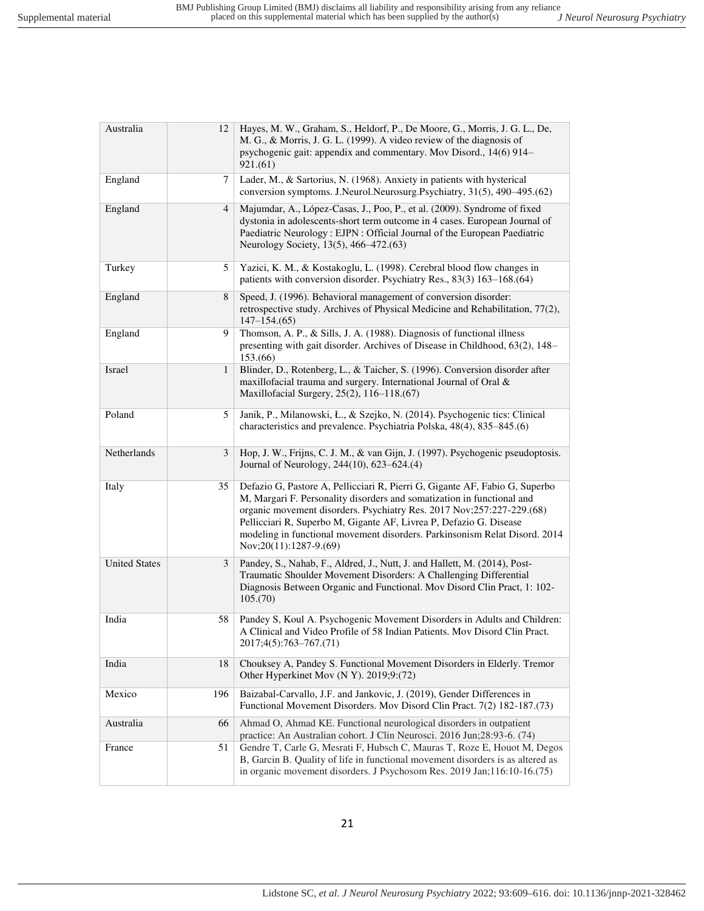| Australia            | 12             | Hayes, M. W., Graham, S., Heldorf, P., De Moore, G., Morris, J. G. L., De,<br>M. G., & Morris, J. G. L. (1999). A video review of the diagnosis of<br>psychogenic gait: appendix and commentary. Mov Disord., 14(6) 914-<br>921.(61)                                                                                                                                                                               |  |
|----------------------|----------------|--------------------------------------------------------------------------------------------------------------------------------------------------------------------------------------------------------------------------------------------------------------------------------------------------------------------------------------------------------------------------------------------------------------------|--|
| England              | 7              | Lader, M., & Sartorius, N. (1968). Anxiety in patients with hysterical<br>conversion symptoms. J.Neurol.Neurosurg.Psychiatry, 31(5), 490-495.(62)                                                                                                                                                                                                                                                                  |  |
| England              | $\overline{4}$ | Majumdar, A., López-Casas, J., Poo, P., et al. (2009). Syndrome of fixed<br>dystonia in adolescents-short term outcome in 4 cases. European Journal of<br>Paediatric Neurology: EJPN: Official Journal of the European Paediatric<br>Neurology Society, 13(5), 466–472.(63)                                                                                                                                        |  |
| Turkey               | 5              | Yazici, K. M., & Kostakoglu, L. (1998). Cerebral blood flow changes in<br>patients with conversion disorder. Psychiatry Res., 83(3) 163-168.(64)                                                                                                                                                                                                                                                                   |  |
| England              | 8              | Speed, J. (1996). Behavioral management of conversion disorder:<br>retrospective study. Archives of Physical Medicine and Rehabilitation, 77(2),<br>$147 - 154(65)$                                                                                                                                                                                                                                                |  |
| England              | 9              | Thomson, A. P., & Sills, J. A. (1988). Diagnosis of functional illness<br>presenting with gait disorder. Archives of Disease in Childhood, 63(2), 148-<br>153(66)                                                                                                                                                                                                                                                  |  |
| Israel               | $\mathbf{1}$   | Blinder, D., Rotenberg, L., & Taicher, S. (1996). Conversion disorder after<br>maxillofacial trauma and surgery. International Journal of Oral &<br>Maxillofacial Surgery, 25(2), 116–118.(67)                                                                                                                                                                                                                     |  |
| Poland               | 5              | Janik, P., Milanowski, Ł., & Szejko, N. (2014). Psychogenic tics: Clinical<br>characteristics and prevalence. Psychiatria Polska, 48(4), 835–845.(6)                                                                                                                                                                                                                                                               |  |
| Netherlands          | 3              | Hop, J. W., Frijns, C. J. M., & van Gijn, J. (1997). Psychogenic pseudoptosis.<br>Journal of Neurology, 244(10), 623-624.(4)                                                                                                                                                                                                                                                                                       |  |
| Italy                | 35             | Defazio G, Pastore A, Pellicciari R, Pierri G, Gigante AF, Fabio G, Superbo<br>M, Margari F. Personality disorders and somatization in functional and<br>organic movement disorders. Psychiatry Res. 2017 Nov;257:227-229.(68)<br>Pellicciari R, Superbo M, Gigante AF, Livrea P, Defazio G. Disease<br>modeling in functional movement disorders. Parkinsonism Relat Disord. 2014<br>Nov; $20(11)$ : $1287-9(69)$ |  |
| <b>United States</b> | 3              | Pandey, S., Nahab, F., Aldred, J., Nutt, J. and Hallett, M. (2014), Post-<br>Traumatic Shoulder Movement Disorders: A Challenging Differential<br>Diagnosis Between Organic and Functional. Mov Disord Clin Pract, 1: 102-<br>105.(70)                                                                                                                                                                             |  |
| India                | 58             | Pandey S, Koul A. Psychogenic Movement Disorders in Adults and Children:<br>A Clinical and Video Profile of 58 Indian Patients. Mov Disord Clin Pract.<br>2017;4(5):763-767.(71)                                                                                                                                                                                                                                   |  |
| India                | 18             | Chouksey A, Pandey S. Functional Movement Disorders in Elderly. Tremor<br>Other Hyperkinet Mov (N Y). 2019;9:(72)                                                                                                                                                                                                                                                                                                  |  |
| Mexico               | 196            | Baizabal-Carvallo, J.F. and Jankovic, J. (2019), Gender Differences in<br>Functional Movement Disorders. Mov Disord Clin Pract. 7(2) 182-187.(73)                                                                                                                                                                                                                                                                  |  |
| Australia            | 66             | Ahmad O, Ahmad KE. Functional neurological disorders in outpatient<br>practice: An Australian cohort. J Clin Neurosci. 2016 Jun;28:93-6. (74)                                                                                                                                                                                                                                                                      |  |
| France               | 51             | Gendre T, Carle G, Mesrati F, Hubsch C, Mauras T, Roze E, Houot M, Degos<br>B, Garcin B. Quality of life in functional movement disorders is as altered as<br>in organic movement disorders. J Psychosom Res. 2019 Jan;116:10-16.(75)                                                                                                                                                                              |  |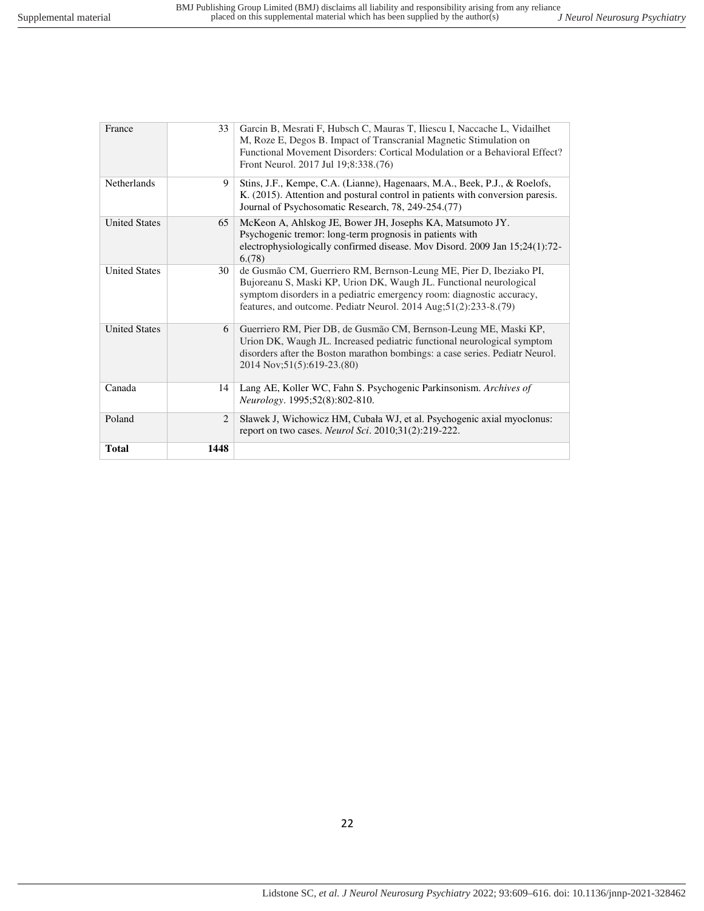| <b>Total</b>         | 1448 |                                                                                                                                                                                                                                                                                       |
|----------------------|------|---------------------------------------------------------------------------------------------------------------------------------------------------------------------------------------------------------------------------------------------------------------------------------------|
| Poland               | 2    | Sławek J, Wichowicz HM, Cubała WJ, et al. Psychogenic axial myoclonus:<br>report on two cases. <i>Neurol Sci.</i> 2010;31(2):219-222.                                                                                                                                                 |
| Canada               | 14   | Lang AE, Koller WC, Fahn S. Psychogenic Parkinsonism. Archives of<br>Neurology. 1995;52(8):802-810.                                                                                                                                                                                   |
| <b>United States</b> | 6    | Guerriero RM, Pier DB, de Gusmão CM, Bernson-Leung ME, Maski KP,<br>Urion DK, Waugh JL. Increased pediatric functional neurological symptom<br>disorders after the Boston marathon bombings: a case series. Pediatr Neurol.<br>2014 Nov; 51(5): 619-23. (80)                          |
| <b>United States</b> | 30   | de Gusmão CM, Guerriero RM, Bernson-Leung ME, Pier D, Ibeziako PI,<br>Bujoreanu S, Maski KP, Urion DK, Waugh JL. Functional neurological<br>symptom disorders in a pediatric emergency room: diagnostic accuracy,<br>features, and outcome. Pediatr Neurol. 2014 Aug;51(2):233-8.(79) |
| <b>United States</b> | 65   | McKeon A, Ahlskog JE, Bower JH, Josephs KA, Matsumoto JY.<br>Psychogenic tremor: long-term prognosis in patients with<br>electrophysiologically confirmed disease. Mov Disord. 2009 Jan 15;24(1):72-<br>6(78)                                                                         |
| Netherlands          | 9    | Stins, J.F., Kempe, C.A. (Lianne), Hagenaars, M.A., Beek, P.J., & Roelofs,<br>K. (2015). Attention and postural control in patients with conversion paresis.<br>Journal of Psychosomatic Research, 78, 249-254.(77)                                                                   |
| France               | 33   | Garcin B, Mesrati F, Hubsch C, Mauras T, Iliescu I, Naccache L, Vidailhet<br>M, Roze E, Degos B. Impact of Transcranial Magnetic Stimulation on<br>Functional Movement Disorders: Cortical Modulation or a Behavioral Effect?<br>Front Neurol. 2017 Jul 19;8:338.(76)                 |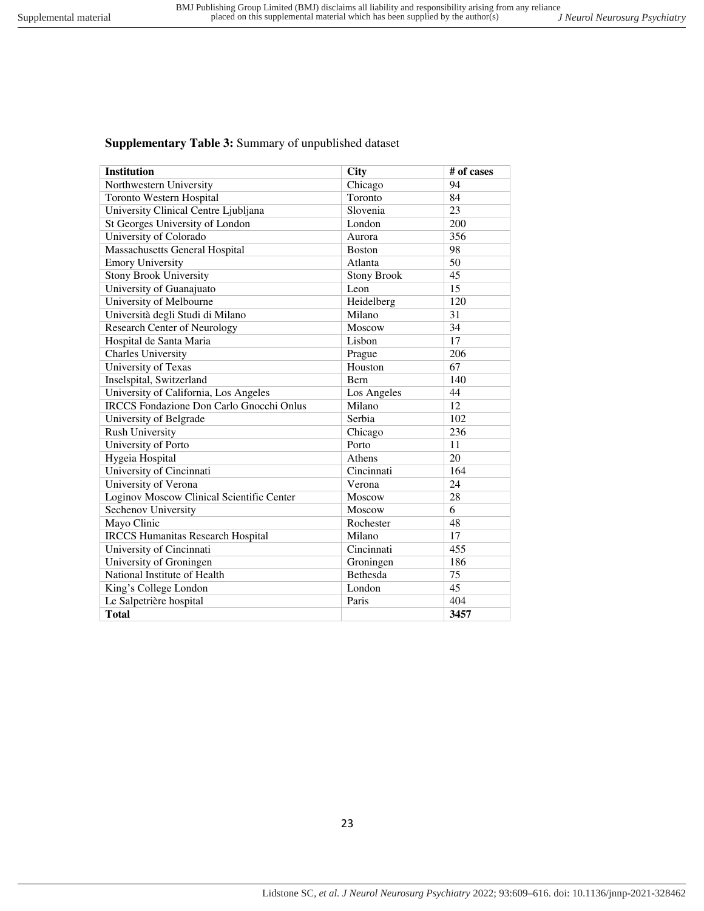# **Supplementary Table 3:** Summary of unpublished dataset

| <b>Institution</b>                              | <b>City</b>        | # of cases |
|-------------------------------------------------|--------------------|------------|
| Northwestern University                         | Chicago            | 94         |
| <b>Toronto Western Hospital</b>                 | Toronto            | 84         |
| University Clinical Centre Ljubljana            | Slovenia           | 23         |
| St Georges University of London                 | London             | 200        |
| University of Colorado                          | Aurora             | 356        |
| <b>Massachusetts General Hospital</b>           | <b>Boston</b>      | 98         |
| <b>Emory University</b>                         | Atlanta            | 50         |
| <b>Stony Brook University</b>                   | <b>Stony Brook</b> | 45         |
| University of Guanajuato                        | Leon               | 15         |
| University of Melbourne                         | Heidelberg         | 120        |
| Università degli Studi di Milano                | Milano             | 31         |
| <b>Research Center of Neurology</b>             | Moscow             | 34         |
| Hospital de Santa Maria                         | Lisbon             | 17         |
| <b>Charles University</b>                       | Prague             | 206        |
| University of Texas                             | Houston            | 67         |
| Inselspital, Switzerland                        | Bern               | 140        |
| University of California, Los Angeles           | Los Angeles        | 44         |
| <b>IRCCS</b> Fondazione Don Carlo Gnocchi Onlus | Milano             | 12         |
| University of Belgrade                          | Serbia             | 102        |
| <b>Rush University</b>                          | Chicago            | 236        |
| University of Porto                             | Porto              | 11         |
| Hygeia Hospital                                 | Athens             | 20         |
| University of Cincinnati                        | Cincinnati         | 164        |
| University of Verona                            | Verona             | 24         |
| Loginov Moscow Clinical Scientific Center       | Moscow             | 28         |
| Sechenov University                             | Moscow             | 6          |
| Mayo Clinic                                     | Rochester          | 48         |
| <b>IRCCS Humanitas Research Hospital</b>        | Milano             | 17         |
| University of Cincinnati                        | Cincinnati         | 455        |
| University of Groningen                         | Groningen          | 186        |
| National Institute of Health                    | <b>Bethesda</b>    | 75         |
| King's College London                           | London             | 45         |
| Le Salpetrière hospital                         | Paris              | 404        |
| <b>Total</b>                                    |                    | 3457       |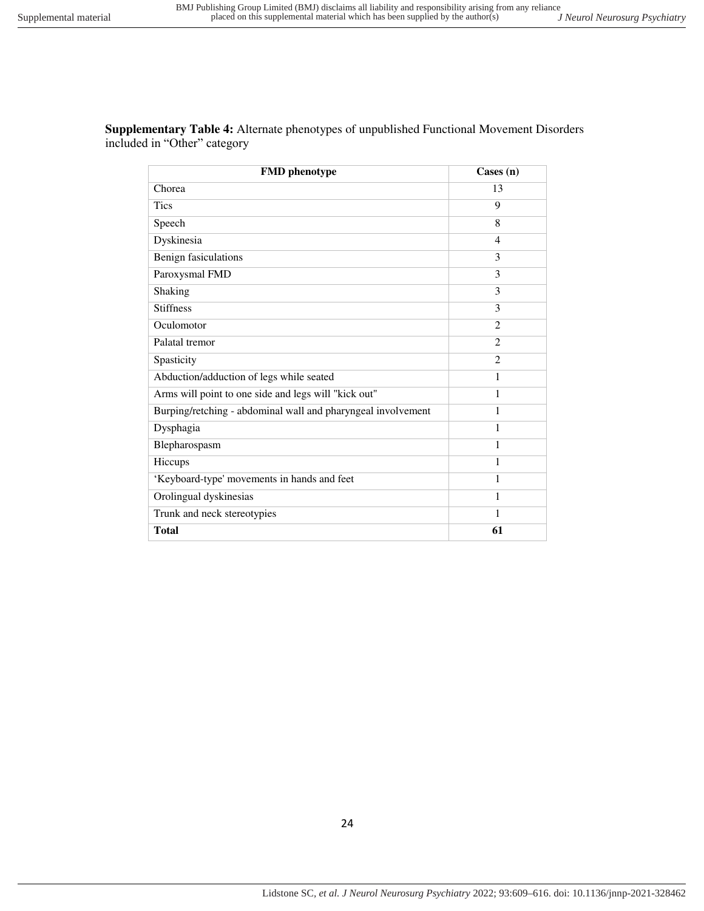| <b>FMD</b> phenotype                                         | $\text{Case}(n)$            |
|--------------------------------------------------------------|-----------------------------|
| Chorea                                                       | 13                          |
| <b>Tics</b>                                                  | 9                           |
| Speech                                                       | 8                           |
| Dyskinesia                                                   | $\overline{4}$              |
| Benign fasiculations                                         | 3                           |
| Paroxysmal FMD                                               | 3                           |
| Shaking                                                      | 3                           |
| <b>Stiffness</b>                                             | 3                           |
| Oculomotor                                                   | $\mathcal{D}_{\mathcal{L}}$ |
| Palatal tremor                                               | $\overline{c}$              |
| Spasticity                                                   | $\mathcal{D}_{\mathcal{L}}$ |
| Abduction/adduction of legs while seated                     |                             |
| Arms will point to one side and legs will "kick out"         |                             |
| Burping/retching - abdominal wall and pharyngeal involvement |                             |
| Dysphagia                                                    |                             |

Blepharospasm 1 Hiccups 1 'Keyboard-type' movements in hands and feet 1 Orolingual dyskinesias 1 Trunk and neck stereotypies 1 **Total** 61

**Supplementary Table 4:** Alternate phenotypes of unpublished Functional Movement Disorders included in "Other" category